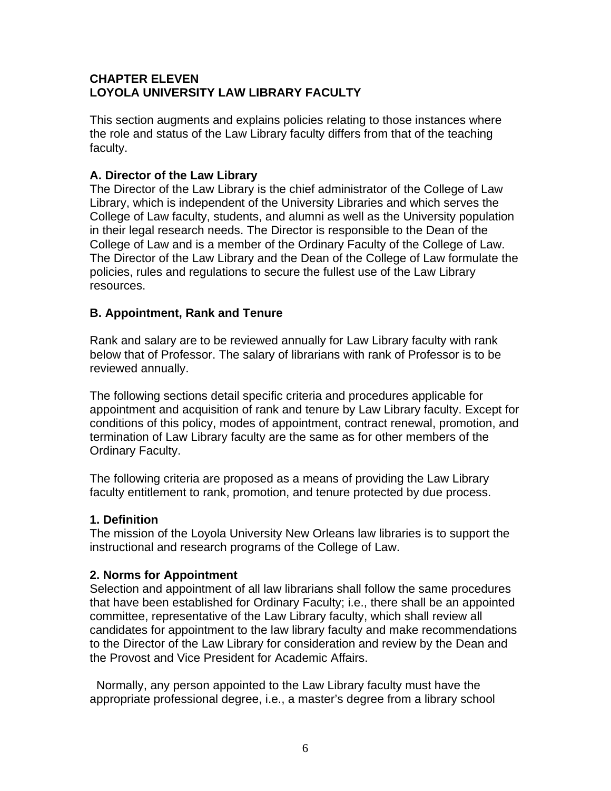# **CHAPTER ELEVEN LOYOLA UNIVERSITY LAW LIBRARY FACULTY**

This section augments and explains policies relating to those instances where the role and status of the Law Library faculty differs from that of the teaching faculty.

# **A. Director of the Law Library**

The Director of the Law Library is the chief administrator of the College of Law Library, which is independent of the University Libraries and which serves the College of Law faculty, students, and alumni as well as the University population in their legal research needs. The Director is responsible to the Dean of the College of Law and is a member of the Ordinary Faculty of the College of Law. The Director of the Law Library and the Dean of the College of Law formulate the policies, rules and regulations to secure the fullest use of the Law Library resources.

## **B. Appointment, Rank and Tenure**

Rank and salary are to be reviewed annually for Law Library faculty with rank below that of Professor. The salary of librarians with rank of Professor is to be reviewed annually.

The following sections detail specific criteria and procedures applicable for appointment and acquisition of rank and tenure by Law Library faculty. Except for conditions of this policy, modes of appointment, contract renewal, promotion, and termination of Law Library faculty are the same as for other members of the Ordinary Faculty.

The following criteria are proposed as a means of providing the Law Library faculty entitlement to rank, promotion, and tenure protected by due process.

### **1. Definition**

The mission of the Loyola University New Orleans law libraries is to support the instructional and research programs of the College of Law.

### **2. Norms for Appointment**

Selection and appointment of all law librarians shall follow the same procedures that have been established for Ordinary Faculty; i.e., there shall be an appointed committee, representative of the Law Library faculty, which shall review all candidates for appointment to the law library faculty and make recommendations to the Director of the Law Library for consideration and review by the Dean and the Provost and Vice President for Academic Affairs.

 Normally, any person appointed to the Law Library faculty must have the appropriate professional degree, i.e., a master's degree from a library school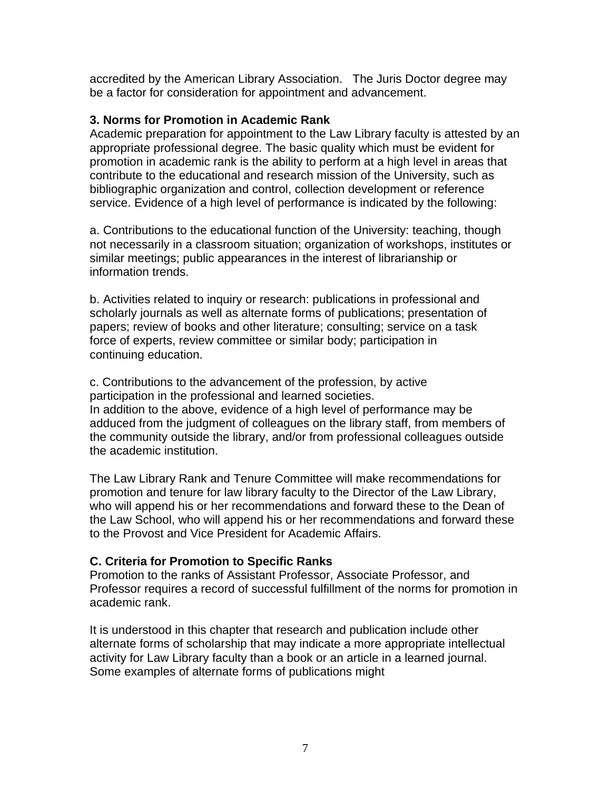accredited by the American Library Association. The Juris Doctor degree may be a factor for consideration for appointment and advancement.

### **3. Norms for Promotion in Academic Rank**

Academic preparation for appointment to the Law Library faculty is attested by an appropriate professional degree. The basic quality which must be evident for promotion in academic rank is the ability to perform at a high level in areas that contribute to the educational and research mission of the University, such as bibliographic organization and control, collection development or reference service. Evidence of a high level of performance is indicated by the following:

a. Contributions to the educational function of the University: teaching, though not necessarily in a classroom situation; organization of workshops, institutes or similar meetings; public appearances in the interest of librarianship or information trends.

b. Activities related to inquiry or research: publications in professional and scholarly journals as well as alternate forms of publications; presentation of papers; review of books and other literature; consulting; service on a task force of experts, review committee or similar body; participation in continuing education.

c. Contributions to the advancement of the profession, by active participation in the professional and learned societies. In addition to the above, evidence of a high level of performance may be adduced from the judgment of colleagues on the library staff, from members of the community outside the library, and/or from professional colleagues outside the academic institution.

The Law Library Rank and Tenure Committee will make recommendations for promotion and tenure for law library faculty to the Director of the Law Library, who will append his or her recommendations and forward these to the Dean of the Law School, who will append his or her recommendations and forward these to the Provost and Vice President for Academic Affairs.

# **C. Criteria for Promotion to Specific Ranks**

Promotion to the ranks of Assistant Professor, Associate Professor, and Professor requires a record of successful fulfillment of the norms for promotion in academic rank.

It is understood in this chapter that research and publication include other alternate forms of scholarship that may indicate a more appropriate intellectual activity for Law Library faculty than a book or an article in a learned journal. Some examples of alternate forms of publications might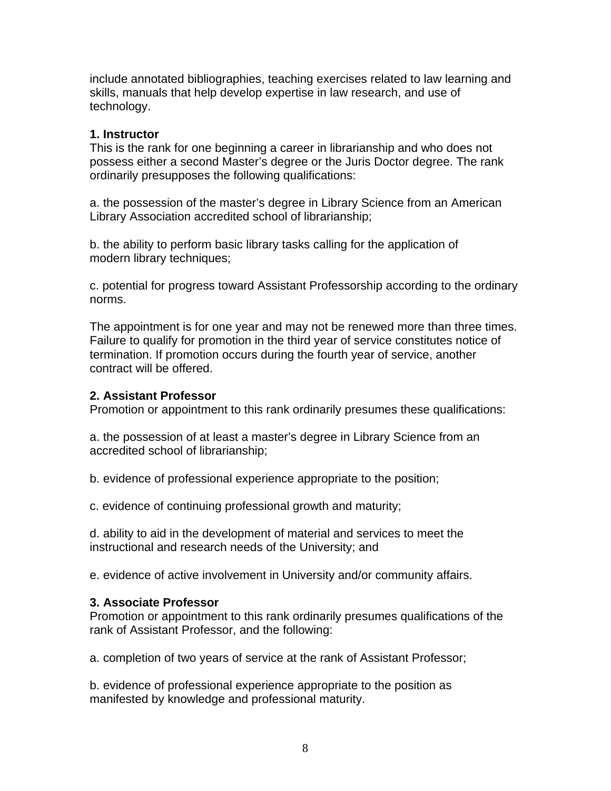include annotated bibliographies, teaching exercises related to law learning and skills, manuals that help develop expertise in law research, and use of technology.

#### **1. Instructor**

This is the rank for one beginning a career in librarianship and who does not possess either a second Master's degree or the Juris Doctor degree. The rank ordinarily presupposes the following qualifications:

a. the possession of the master's degree in Library Science from an American Library Association accredited school of librarianship;

b. the ability to perform basic library tasks calling for the application of modern library techniques;

c. potential for progress toward Assistant Professorship according to the ordinary norms.

The appointment is for one year and may not be renewed more than three times. Failure to qualify for promotion in the third year of service constitutes notice of termination. If promotion occurs during the fourth year of service, another contract will be offered.

#### **2. Assistant Professor**

Promotion or appointment to this rank ordinarily presumes these qualifications:

a. the possession of at least a master's degree in Library Science from an accredited school of librarianship;

b. evidence of professional experience appropriate to the position;

c. evidence of continuing professional growth and maturity;

d. ability to aid in the development of material and services to meet the instructional and research needs of the University; and

e. evidence of active involvement in University and/or community affairs.

### **3. Associate Professor**

Promotion or appointment to this rank ordinarily presumes qualifications of the rank of Assistant Professor, and the following:

a. completion of two years of service at the rank of Assistant Professor;

b. evidence of professional experience appropriate to the position as manifested by knowledge and professional maturity.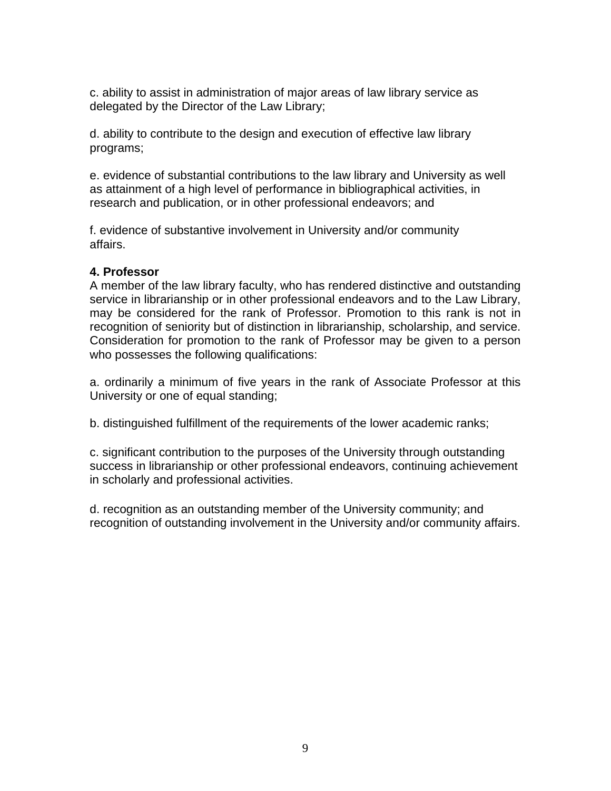c. ability to assist in administration of major areas of law library service as delegated by the Director of the Law Library;

d. ability to contribute to the design and execution of effective law library programs;

e. evidence of substantial contributions to the law library and University as well as attainment of a high level of performance in bibliographical activities, in research and publication, or in other professional endeavors; and

f. evidence of substantive involvement in University and/or community affairs.

### **4. Professor**

A member of the law library faculty, who has rendered distinctive and outstanding service in librarianship or in other professional endeavors and to the Law Library, may be considered for the rank of Professor. Promotion to this rank is not in recognition of seniority but of distinction in librarianship, scholarship, and service. Consideration for promotion to the rank of Professor may be given to a person who possesses the following qualifications:

a. ordinarily a minimum of five years in the rank of Associate Professor at this University or one of equal standing;

b. distinguished fulfillment of the requirements of the lower academic ranks;

c. significant contribution to the purposes of the University through outstanding success in librarianship or other professional endeavors, continuing achievement in scholarly and professional activities.

d. recognition as an outstanding member of the University community; and recognition of outstanding involvement in the University and/or community affairs.